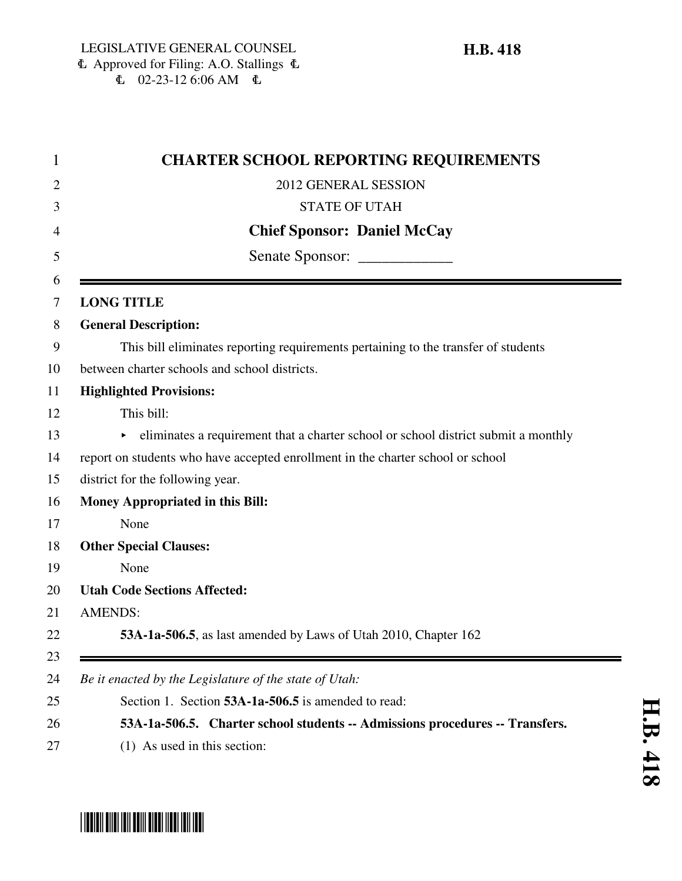|                | <b>CHARTER SCHOOL REPORTING REQUIREMENTS</b>                                       |
|----------------|------------------------------------------------------------------------------------|
|                | 2012 GENERAL SESSION                                                               |
|                | <b>STATE OF UTAH</b>                                                               |
|                | <b>Chief Sponsor: Daniel McCay</b>                                                 |
|                | Senate Sponsor: _______________                                                    |
|                |                                                                                    |
|                | <b>LONG TITLE</b>                                                                  |
|                | <b>General Description:</b>                                                        |
|                | This bill eliminates reporting requirements pertaining to the transfer of students |
|                | between charter schools and school districts.                                      |
|                | <b>Highlighted Provisions:</b>                                                     |
|                | This bill:                                                                         |
|                | eliminates a requirement that a charter school or school district submit a monthly |
|                | report on students who have accepted enrollment in the charter school or school    |
|                | district for the following year.                                                   |
|                | <b>Money Appropriated in this Bill:</b>                                            |
|                | None                                                                               |
|                | <b>Other Special Clauses:</b>                                                      |
|                | None                                                                               |
|                | <b>Utah Code Sections Affected:</b>                                                |
| <b>AMENDS:</b> |                                                                                    |
|                | 53A-1a-506.5, as last amended by Laws of Utah 2010, Chapter 162                    |

# \*HB0418\*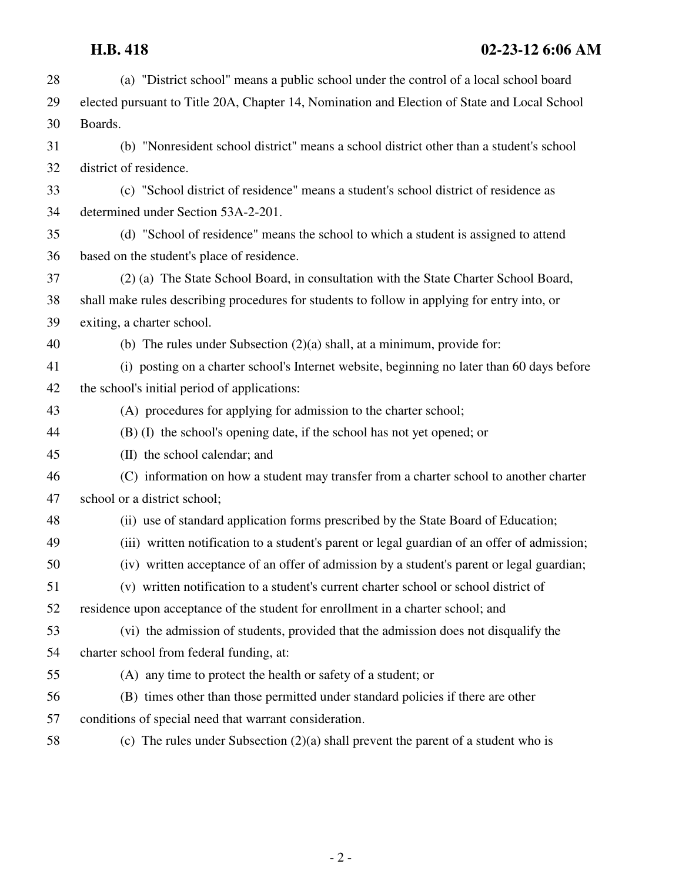| 28 | (a) "District school" means a public school under the control of a local school board        |
|----|----------------------------------------------------------------------------------------------|
| 29 | elected pursuant to Title 20A, Chapter 14, Nomination and Election of State and Local School |
| 30 | Boards.                                                                                      |
| 31 | (b) "Nonresident school district" means a school district other than a student's school      |
| 32 | district of residence.                                                                       |
| 33 | (c) "School district of residence" means a student's school district of residence as         |
| 34 | determined under Section 53A-2-201.                                                          |
| 35 | (d) "School of residence" means the school to which a student is assigned to attend          |
| 36 | based on the student's place of residence.                                                   |
| 37 | (2) (a) The State School Board, in consultation with the State Charter School Board,         |
| 38 | shall make rules describing procedures for students to follow in applying for entry into, or |
| 39 | exiting, a charter school.                                                                   |
| 40 | (b) The rules under Subsection $(2)(a)$ shall, at a minimum, provide for:                    |
| 41 | (i) posting on a charter school's Internet website, beginning no later than 60 days before   |
| 42 | the school's initial period of applications:                                                 |
| 43 | (A) procedures for applying for admission to the charter school;                             |
| 44 | (B) (I) the school's opening date, if the school has not yet opened; or                      |
| 45 | (II) the school calendar; and                                                                |
| 46 | (C) information on how a student may transfer from a charter school to another charter       |
| 47 | school or a district school;                                                                 |
| 48 | (ii) use of standard application forms prescribed by the State Board of Education;           |
| 49 | (iii) written notification to a student's parent or legal guardian of an offer of admission; |
| 50 | (iv) written acceptance of an offer of admission by a student's parent or legal guardian;    |
| 51 | (v) written notification to a student's current charter school or school district of         |
| 52 | residence upon acceptance of the student for enrollment in a charter school; and             |
| 53 | (vi) the admission of students, provided that the admission does not disqualify the          |
| 54 | charter school from federal funding, at:                                                     |
| 55 | (A) any time to protect the health or safety of a student; or                                |
| 56 | (B) times other than those permitted under standard policies if there are other              |
| 57 | conditions of special need that warrant consideration.                                       |
| 58 | (c) The rules under Subsection $(2)(a)$ shall prevent the parent of a student who is         |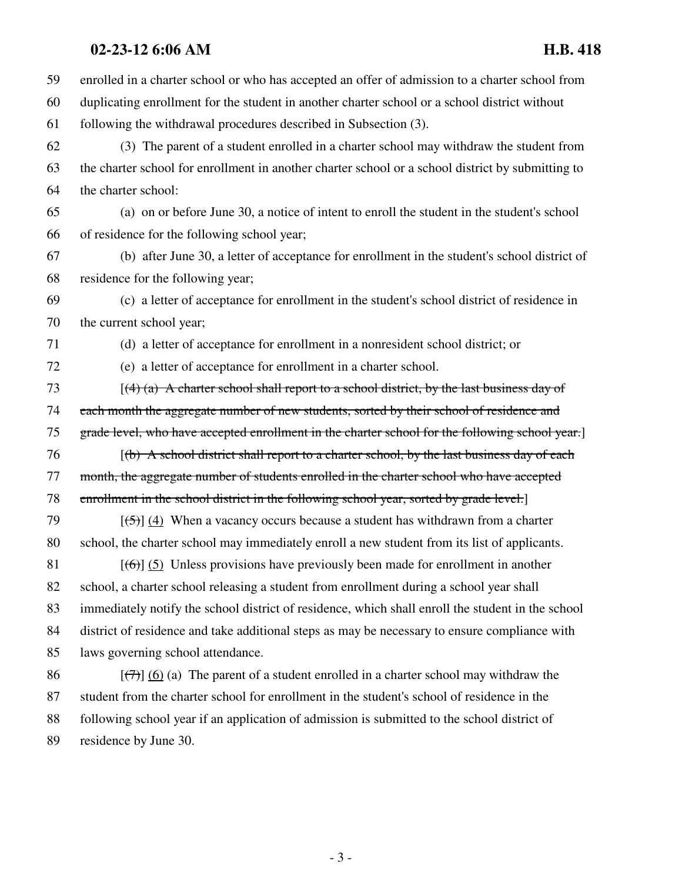### **02-23-12 6:06 AM H.B. 418**

59 enrolled in a charter school or who has accepted an offer of admission to a charter school from 60 duplicating enrollment for the student in another charter school or a school district without 61 following the withdrawal procedures described in Subsection (3). 62 (3) The parent of a student enrolled in a charter school may withdraw the student from 63 the charter school for enrollment in another charter school or a school district by submitting to 64 the charter school: 65 (a) on or before June 30, a notice of intent to enroll the student in the student's school 66 of residence for the following school year; 67 (b) after June 30, a letter of acceptance for enrollment in the student's school district of 68 residence for the following year; 69 (c) a letter of acceptance for enrollment in the student's school district of residence in 70 the current school year; 71 (d) a letter of acceptance for enrollment in a nonresident school district; or 72 (e) a letter of acceptance for enrollment in a charter school. 73  $[(4)$  (a) A charter school shall report to a school district, by the last business day of 74 each month the aggregate number of new students, sorted by their school of residence and 75 grade level, who have accepted enrollment in the charter school for the following school year.] 76 [(b) A school district shall report to a charter school, by the last business day of each 77 month, the aggregate number of students enrolled in the charter school who have accepted 78 enrollment in the school district in the following school year, sorted by grade level. 79  $\lceil(5)\rceil$  (4) When a vacancy occurs because a student has withdrawn from a charter 80 school, the charter school may immediately enroll a new student from its list of applicants. 81  $[(6)]$  (5) Unless provisions have previously been made for enrollment in another 82 school, a charter school releasing a student from enrollment during a school year shall 83 immediately notify the school district of residence, which shall enroll the student in the school 84 district of residence and take additional steps as may be necessary to ensure compliance with 85 laws governing school attendance. 86  $\left[\left(\frac{7}{7}\right)\right]$  (6) (a) The parent of a student enrolled in a charter school may withdraw the 87 student from the charter school for enrollment in the student's school of residence in the 88 following school year if an application of admission is submitted to the school district of

89 residence by June 30.

- 3 -